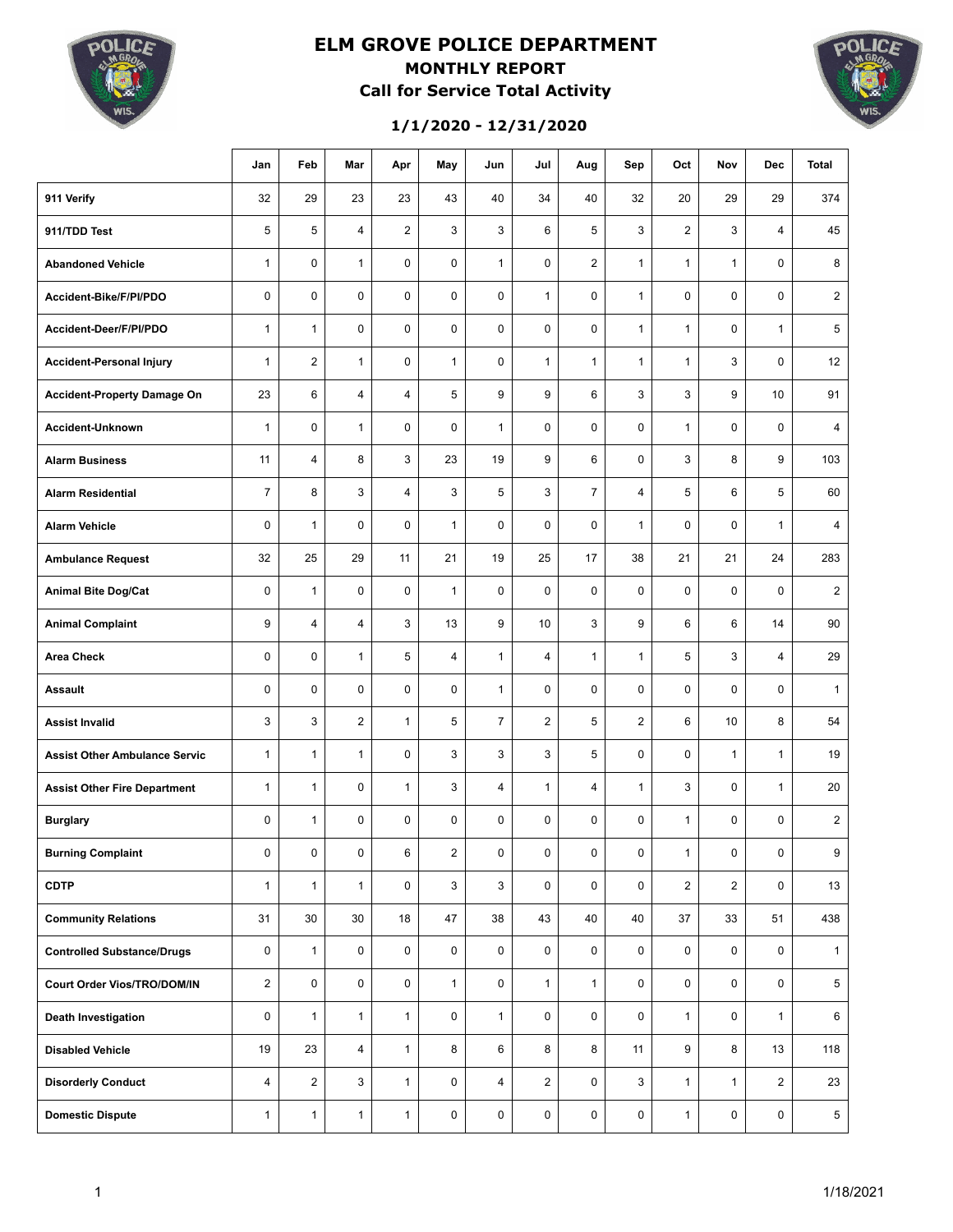

### **ELM GROVE POLICE DEPARTMENT MONTHLY REPORT Call for Service Total Activity**



**1/1/2020 - 12/31/2020**

|                                      | Jan            | Feb            | Mar            | Apr            | May            | Jun            | Jul            | Aug            | Sep            | Oct            | Nov                     | <b>Dec</b>     | <b>Total</b>    |
|--------------------------------------|----------------|----------------|----------------|----------------|----------------|----------------|----------------|----------------|----------------|----------------|-------------------------|----------------|-----------------|
| 911 Verify                           | 32             | 29             | 23             | 23             | 43             | 40             | 34             | 40             | 32             | 20             | 29                      | 29             | 374             |
| 911/TDD Test                         | 5              | 5              | $\overline{4}$ | $\overline{2}$ | 3              | 3              | 6              | 5              | 3              | $\overline{2}$ | 3                       | $\overline{4}$ | 45              |
| <b>Abandoned Vehicle</b>             | $\mathbf{1}$   | $\mathbf 0$    | $\mathbf{1}$   | $\mathbf 0$    | $\mathbf 0$    | $\mathbf{1}$   | 0              | $\overline{2}$ | $\mathbf{1}$   | $\mathbf{1}$   | $\mathbf{1}$            | $\mathbf 0$    | 8               |
| Accident-Bike/F/PI/PDO               | $\mathbf 0$    | $\mathbf 0$    | $\mathbf 0$    | $\mathbf 0$    | $\mathbf 0$    | $\mathbf 0$    | $\mathbf{1}$   | $\mathbf 0$    | $\mathbf{1}$   | $\mathbf 0$    | $\mathbf 0$             | $\mathbf 0$    | $\overline{2}$  |
| Accident-Deer/F/PI/PDO               | $\mathbf{1}$   | $\mathbf{1}$   | $\mathbf 0$    | $\mathbf 0$    | $\mathbf 0$    | $\mathbf 0$    | 0              | $\mathbf 0$    | $\mathbf{1}$   | $\mathbf{1}$   | $\mathbf 0$             | $\mathbf{1}$   | 5               |
| <b>Accident-Personal Injury</b>      | $\mathbf{1}$   | $\overline{2}$ | $\mathbf{1}$   | $\mathbf 0$    | $\mathbf{1}$   | $\mathbf 0$    | $\mathbf{1}$   | $\mathbf{1}$   | $\mathbf{1}$   | $\mathbf{1}$   | 3                       | $\mathbf 0$    | 12              |
| <b>Accident-Property Damage On</b>   | 23             | 6              | $\overline{4}$ | $\overline{4}$ | 5              | 9              | 9              | 6              | 3              | 3              | 9                       | 10             | 91              |
| Accident-Unknown                     | $\mathbf{1}$   | $\mathbf 0$    | $\mathbf{1}$   | $\mathbf 0$    | $\mathbf 0$    | $\mathbf{1}$   | $\mathbf 0$    | $\mathbf 0$    | 0              | $\mathbf{1}$   | $\mathbf 0$             | $\mathbf 0$    | $\overline{4}$  |
| <b>Alarm Business</b>                | 11             | $\overline{4}$ | 8              | 3              | 23             | 19             | 9              | 6              | 0              | 3              | 8                       | 9              | 103             |
| <b>Alarm Residential</b>             | $\overline{7}$ | 8              | 3              | $\overline{4}$ | 3              | 5              | 3              | $\overline{7}$ | 4              | 5              | 6                       | 5              | 60              |
| <b>Alarm Vehicle</b>                 | 0              | $\mathbf{1}$   | $\mathbf 0$    | $\pmb{0}$      | $\mathbf{1}$   | $\mathbf 0$    | 0              | 0              | $\mathbf{1}$   | $\mathbf 0$    | 0                       | $\mathbf{1}$   | 4               |
| <b>Ambulance Request</b>             | 32             | 25             | 29             | 11             | 21             | 19             | 25             | 17             | 38             | 21             | 21                      | 24             | 283             |
| <b>Animal Bite Dog/Cat</b>           | $\mathbf 0$    | $\mathbf{1}$   | $\mathbf 0$    | $\pmb{0}$      | $\mathbf{1}$   | $\mathbf 0$    | 0              | $\mathbf 0$    | $\mathbf 0$    | $\mathbf 0$    | 0                       | 0              | $\overline{2}$  |
| <b>Animal Complaint</b>              | 9              | $\overline{4}$ | $\overline{4}$ | 3              | 13             | 9              | 10             | 3              | 9              | 6              | 6                       | 14             | 90              |
| <b>Area Check</b>                    | 0              | $\pmb{0}$      | $\mathbf{1}$   | 5              | 4              | $\mathbf{1}$   | $\overline{4}$ | $\mathbf{1}$   | $\mathbf{1}$   | 5              | 3                       | $\overline{4}$ | 29              |
| <b>Assault</b>                       | 0              | $\mathbf 0$    | $\mathbf 0$    | $\pmb{0}$      | 0              | $\mathbf{1}$   | $\mathbf 0$    | $\mathbf 0$    | 0              | $\mathbf 0$    | 0                       | $\mathbf 0$    | $\mathbf{1}$    |
| <b>Assist Invalid</b>                | 3              | 3              | $\overline{2}$ | $\mathbf{1}$   | 5              | $\overline{7}$ | $\overline{2}$ | 5              | $\overline{2}$ | 6              | 10                      | 8              | 54              |
| <b>Assist Other Ambulance Servic</b> | $\mathbf{1}$   | $\mathbf{1}$   | $\mathbf{1}$   | 0              | 3              | 3              | 3              | 5              | 0              | $\mathbf 0$    | $\mathbf{1}$            | $\mathbf{1}$   | 19              |
| <b>Assist Other Fire Department</b>  | $\mathbf{1}$   | $\mathbf{1}$   | $\mathbf 0$    | $\mathbf{1}$   | 3              | $\overline{4}$ | $\mathbf{1}$   | 4              | $\mathbf{1}$   | 3              | 0                       | $\mathbf{1}$   | 20              |
| <b>Burglary</b>                      | 0              | $\mathbf{1}$   | $\mathbf 0$    | 0              | 0              | $\mathbf 0$    | 0              | $\mathbf 0$    | 0              | $\mathbf{1}$   | 0                       | 0              | $\overline{2}$  |
| <b>Burning Complaint</b>             | 0              | 0              | 0              | 6              | $\overline{c}$ | 0              | 0              | 0              | 0              | $\mathbf{1}$   | 0                       | 0              | 9               |
| <b>CDTP</b>                          | $\mathbf{1}$   | $\mathbf{1}$   | $\mathbf{1}$   | 0              | 3              | 3              | $\mathbf 0$    | $\mathbf 0$    | 0              | $\overline{2}$ | $\overline{\mathbf{c}}$ | $\mathbf 0$    | 13              |
| <b>Community Relations</b>           | 31             | 30             | 30             | 18             | 47             | 38             | 43             | 40             | 40             | 37             | 33                      | 51             | 438             |
| <b>Controlled Substance/Drugs</b>    | 0              | $\mathbf{1}$   | 0              | 0              | $\mathbf 0$    | $\mathbf 0$    | 0              | $\mathbf 0$    | 0              | 0              | 0                       | $\mathbf 0$    | $\mathbf{1}$    |
| Court Order Vios/TRO/DOM/IN          | $\overline{2}$ | 0              | $\mathbf 0$    | 0              | $\mathbf{1}$   | $\mathbf 0$    | $\mathbf{1}$   | $\mathbf{1}$   | 0              | 0              | 0                       | $\mathbf 0$    | 5               |
| <b>Death Investigation</b>           | 0              | $\mathbf{1}$   | $\mathbf{1}$   | $\mathbf{1}$   | $\mathbf 0$    | $\mathbf{1}$   | $\mathbf 0$    | $\mathbf 0$    | 0              | $\mathbf{1}$   | 0                       | $\mathbf{1}$   | 6               |
| <b>Disabled Vehicle</b>              | 19             | 23             | $\overline{4}$ | $\mathbf{1}$   | 8              | 6              | 8              | 8              | 11             | 9              | 8                       | 13             | 118             |
| <b>Disorderly Conduct</b>            | $\overline{4}$ | $\overline{2}$ | 3              | $\mathbf{1}$   | $\mathbf 0$    | $\overline{4}$ | $\overline{2}$ | $\mathbf 0$    | 3              | $\mathbf{1}$   | $\mathbf{1}$            | $\overline{2}$ | 23              |
| <b>Domestic Dispute</b>              | $\mathbf{1}$   | $\mathbf{1}$   | $\mathbf{1}$   | $\mathbf{1}$   | $\mathbf 0$    | $\mathbf 0$    | 0              | 0              | 0              | $\mathbf{1}$   | 0                       | $\mathsf 0$    | $5\phantom{.0}$ |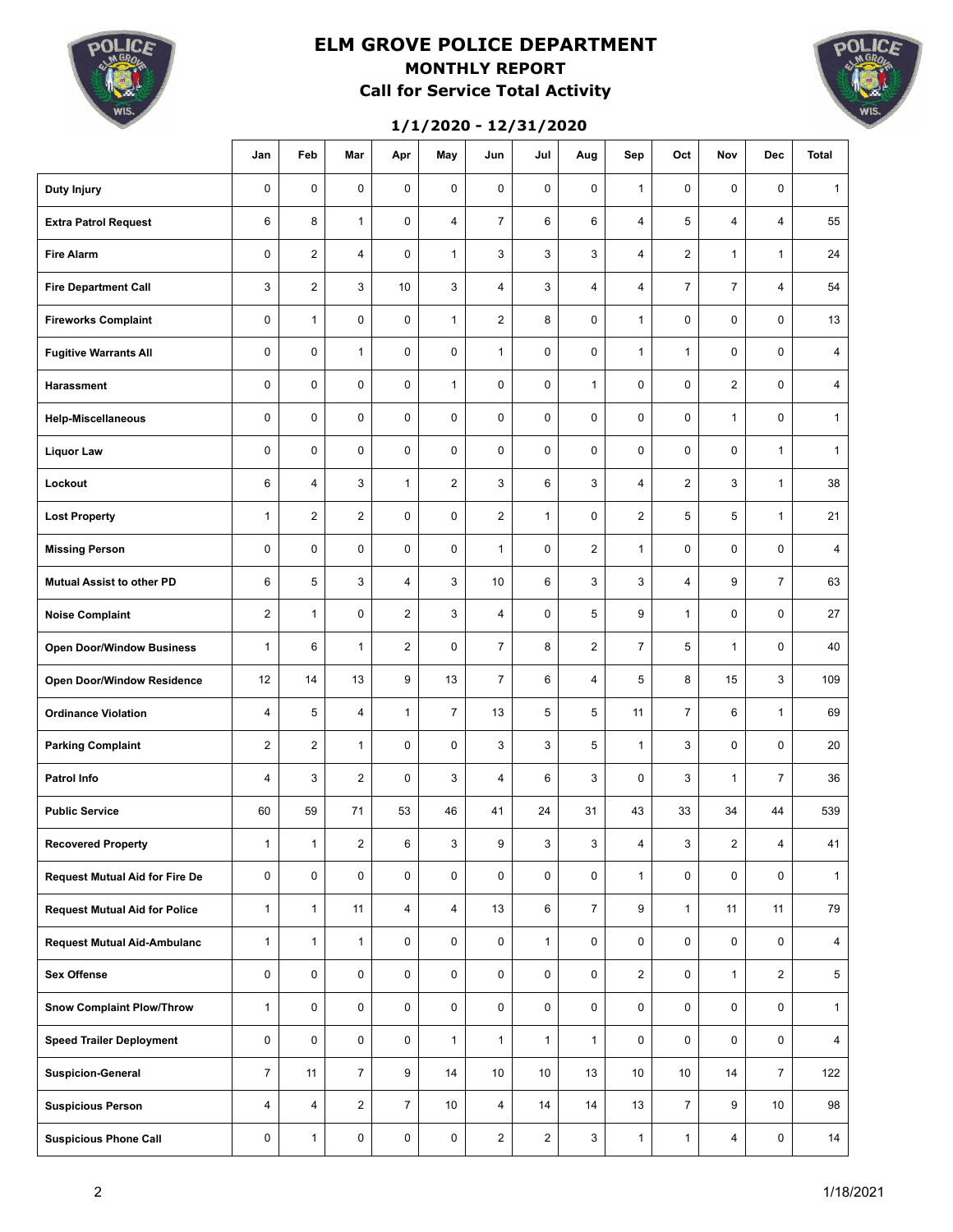

# **ELM GROVE POLICE DEPARTMENT MONTHLY REPORT Call for Service Total Activity**

### **1/1/2020 - 12/31/2020**



|                                       | Jan            | Feb            | Mar                     | Apr            | May             | Jun            | Jul            | Aug            | Sep             | Oct            | Nov            | <b>Dec</b>      | <b>Total</b>   |
|---------------------------------------|----------------|----------------|-------------------------|----------------|-----------------|----------------|----------------|----------------|-----------------|----------------|----------------|-----------------|----------------|
| <b>Duty Injury</b>                    | 0              | $\mathbf 0$    | 0                       | $\pmb{0}$      | 0               | $\mathbf 0$    | 0              | 0              | $\mathbf{1}$    | $\mathbf 0$    | 0              | 0               | $\mathbf{1}$   |
| <b>Extra Patrol Request</b>           | 6              | 8              | $\mathbf{1}$            | 0              | 4               | $\overline{7}$ | 6              | 6              | 4               | 5              | $\overline{4}$ | 4               | 55             |
| <b>Fire Alarm</b>                     | 0              | $\overline{2}$ | 4                       | 0              | $\mathbf{1}$    | 3              | 3              | 3              | 4               | $\overline{2}$ | $\mathbf{1}$   | $\mathbf{1}$    | 24             |
| <b>Fire Department Call</b>           | 3              | $\overline{2}$ | 3                       | 10             | 3               | $\overline{4}$ | 3              | 4              | 4               | $\overline{7}$ | 7              | 4               | 54             |
| <b>Fireworks Complaint</b>            | 0              | $\mathbf{1}$   | 0                       | 0              | $\mathbf{1}$    | $\overline{2}$ | 8              | $\mathbf 0$    | $\mathbf{1}$    | 0              | 0              | 0               | 13             |
| <b>Fugitive Warrants All</b>          | 0              | $\mathbf 0$    | $\mathbf{1}$            | 0              | 0               | $\mathbf{1}$   | 0              | 0              | $\mathbf{1}$    | $\mathbf{1}$   | 0              | 0               | 4              |
| Harassment                            | 0              | $\mathbf 0$    | 0                       | 0              | $\mathbf{1}$    | 0              | 0              | $\mathbf{1}$   | 0               | 0              | $\overline{2}$ | 0               | 4              |
| <b>Help-Miscellaneous</b>             | 0              | $\mathbf 0$    | 0                       | 0              | 0               | $\mathbf 0$    | 0              | 0              | 0               | 0              | $\mathbf{1}$   | 0               | $\mathbf{1}$   |
| <b>Liquor Law</b>                     | 0              | $\mathbf 0$    | 0                       | 0              | 0               | $\mathbf 0$    | 0              | 0              | 0               | 0              | 0              | $\mathbf{1}$    | $\mathbf{1}$   |
| Lockout                               | 6              | $\overline{4}$ | 3                       | $\mathbf{1}$   | $\overline{2}$  | 3              | 6              | 3              | 4               | $\overline{2}$ | 3              | $\mathbf{1}$    | 38             |
| <b>Lost Property</b>                  | $\mathbf{1}$   | $\overline{2}$ | $\overline{2}$          | $\mathbf 0$    | $\pmb{0}$       | $\overline{2}$ | $\mathbf{1}$   | $\mathbf 0$    | 2               | 5              | 5              | $\mathbf{1}$    | 21             |
| <b>Missing Person</b>                 | 0              | $\mathbf 0$    | $\mathbf 0$             | $\mathbf 0$    | $\pmb{0}$       | $\mathbf{1}$   | 0              | $\overline{c}$ | $\mathbf{1}$    | $\mathbf 0$    | $\mathbf 0$    | 0               | 4              |
| <b>Mutual Assist to other PD</b>      | 6              | 5              | 3                       | $\overline{4}$ | 3               | 10             | 6              | 3              | 3               | $\overline{4}$ | 9              | $\overline{7}$  | 63             |
| <b>Noise Complaint</b>                | $\overline{2}$ | $\mathbf{1}$   | $\mathbf 0$             | $\overline{2}$ | 3               | $\overline{4}$ | 0              | 5              | 9               | $\mathbf{1}$   | $\mathbf 0$    | $\mathbf 0$     | 27             |
| <b>Open Door/Window Business</b>      | $\mathbf{1}$   | 6              | $\mathbf{1}$            | $\overline{2}$ | $\mathbf 0$     | $\overline{7}$ | 8              | $\overline{2}$ | $\overline{7}$  | 5              | $\mathbf{1}$   | $\mathbf 0$     | 40             |
| Open Door/Window Residence            | 12             | 14             | 13                      | 9              | 13              | $\overline{7}$ | 6              | 4              | 5               | 8              | 15             | 3               | 109            |
| <b>Ordinance Violation</b>            | $\overline{4}$ | 5              | $\overline{4}$          | $\mathbf{1}$   | $\overline{7}$  | 13             | 5              | 5              | 11              | $\overline{7}$ | 6              | $\mathbf{1}$    | 69             |
| <b>Parking Complaint</b>              | $\overline{2}$ | $\overline{2}$ | $\mathbf{1}$            | $\mathbf 0$    | 0               | 3              | 3              | 5              | $\mathbf{1}$    | 3              | $\mathbf 0$    | $\mathbf 0$     | 20             |
| <b>Patrol Info</b>                    | $\overline{4}$ | 3              | $\overline{2}$          | $\mathbf 0$    | 3               | 4              | 6              | 3              | 0               | 3              | $\mathbf{1}$   | $\overline{7}$  | 36             |
| <b>Public Service</b>                 | 60             | 59             | 71                      | 53             | 46              | 41             | 24             | 31             | 43              | 33             | 34             | 44              | 539            |
| <b>Recovered Property</b>             | $\mathbf{1}$   | $\mathbf{1}$   | $\overline{\mathbf{c}}$ | 6              | 3               | 9              | 3              | 3              | 4               | 3              | $\mathbf 2$    | 4               | 41             |
| <b>Request Mutual Aid for Fire De</b> | 0              | 0              | 0                       | $\pmb{0}$      | $\mathbf 0$     | $\mathbf 0$    | 0              | 0              | $\mathbf{1}$    | $\mathbf 0$    | 0              | 0               | $\mathbf{1}$   |
| <b>Request Mutual Aid for Police</b>  | $\mathbf{1}$   | $\mathbf{1}$   | 11                      | 4              | $\overline{4}$  | 13             | 6              | $\overline{7}$ | 9               | $\mathbf{1}$   | 11             | 11              | 79             |
| <b>Request Mutual Aid-Ambulanc</b>    | $\mathbf{1}$   | $\mathbf{1}$   | $\mathbf{1}$            | 0              | $\mathbf 0$     | $\mathbf 0$    | $\mathbf{1}$   | 0              | 0               | $\mathbf 0$    | 0              | $\mathbf 0$     | $\overline{4}$ |
| <b>Sex Offense</b>                    | 0              | 0              | $\mathbf 0$             | $\pmb{0}$      | $\mathbf 0$     | $\mathbf 0$    | 0              | 0              | $\overline{2}$  | $\mathbf 0$    | $\mathbf{1}$   | $\overline{2}$  | 5              |
| <b>Snow Complaint Plow/Throw</b>      | $\mathbf{1}$   | 0              | $\mathbf 0$             | 0              | $\mathbf 0$     | $\mathbf 0$    | 0              | 0              | 0               | 0              | 0              | 0               | $\mathbf{1}$   |
| <b>Speed Trailer Deployment</b>       | 0              | 0              | $\mathbf 0$             | 0              | $\mathbf{1}$    | $\mathbf{1}$   | $\mathbf{1}$   | $\mathbf{1}$   | 0               | $\mathbf 0$    | 0              | $\mathbf 0$     | $\overline{4}$ |
| <b>Suspicion-General</b>              | $\overline{7}$ | 11             | $\overline{7}$          | 9              | 14              | 10             | 10             | 13             | 10 <sup>°</sup> | 10             | 14             | $\overline{7}$  | 122            |
| <b>Suspicious Person</b>              | $\overline{4}$ | $\overline{4}$ | $\overline{2}$          | $\overline{7}$ | 10 <sup>°</sup> | $\overline{4}$ | 14             | 14             | 13              | $\overline{7}$ | 9              | 10 <sup>1</sup> | 98             |
| <b>Suspicious Phone Call</b>          | 0              | $\mathbf{1}$   | 0                       | 0              | 0               | $\overline{2}$ | $\overline{a}$ | 3              | $\mathbf{1}$    | $\mathbf{1}$   | 4              | $\mathbf 0$     | 14             |